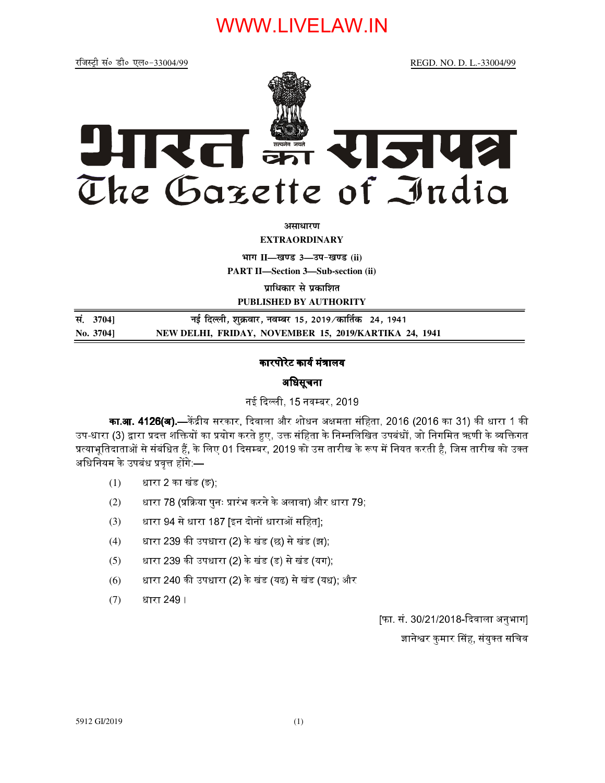# WWW.LIVELAW.IN

REGD. NO. D. L.-33004/99



असाधारण

**EXTRAORDINARY** 

भाग II-खण्ड 3-उप-खण्ड (ii)

**PART II-Section 3-Sub-section (ii)** 

पाधिकार से पकाशित

PUBLISHED BY AUTHORITY

| सं. 3704] | नई दिल्ली, शुक्रवार, नवम्बर 15, 2019 ∕कार्तिक   24, 1941 |
|-----------|----------------------------------------------------------|
| No. 3704] | NEW DELHI, FRIDAY, NOVEMBER 15, 2019/KARTIKA 24, 1941    |

### कारपोरेट कार्य मंत्रालय

### अधिसूचना

नई दिल्ली, 15 नवम्बर, 2019

का.<mark>आ. 4126(अ).—</mark>केंद्रीय सरकार, दिवाला और शोधन अक्षमता संहिता, 2016 (2016 का 31) की धारा 1 की उप-धारा (3) द्वारा प्रदत्त शक्तियों का प्रयोग करते हुए, उक्त संहिता के निम्नलिखित उपबंधों, जो निगमित ऋणी के व्यक्तिगत प्रत्याभूतिदाताओं से संबंधित हैं, के लिए 01 दिसम्बर, 2019 को उस तारीख के रूप में नियत करती है, जिस तारीख को उक्त अधिनियम के उपबंध प्रवृत्त होंगे:—

- $(1)$ धारा 2 का खंड (ङ);
- धारा 78 (प्रक्रिया पुनः प्रारंभ करने के अलावा) और धारा 79;  $(2)$
- धारा 94 से धारा 187 [इन दोनों धाराओं सहित];  $(3)$
- धारा 239 की उपधारा (2) के खंड (छ) से खंड (झ);  $(4)$
- धारा 239 की उपधारा (2) के खंड (ड) से खंड (यग);  $(5)$
- धारा 240 की उपधारा (2) के खंड (यढ) से खंड (यध); और  $(6)$
- धारा 249 ।  $(7)$

[फा. सं. 30/21/2018-दिवाला अनुभाग]

ज्ञानेश्वर कुमार सिंह, संयुक्त सचिव